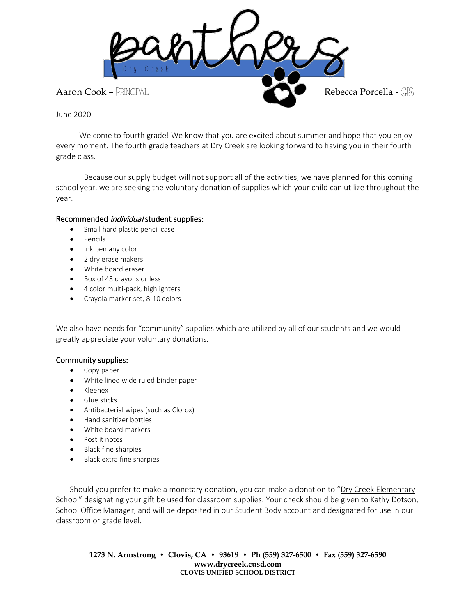

June 2020

 Welcome to fourth grade! We know that you are excited about summer and hope that you enjoy every moment. The fourth grade teachers at Dry Creek are looking forward to having you in their fourth grade class.

Because our supply budget will not support all of the activities, we have planned for this coming school year, we are seeking the voluntary donation of supplies which your child can utilize throughout the year.

## Recommended *individual* student supplies:

- Small hard plastic pencil case
- Pencils
- Ink pen any color
- 2 dry erase makers
- White board eraser
- Box of 48 crayons or less
- 4 color multi-pack, highlighters
- Crayola marker set, 8-10 colors

We also have needs for "community" supplies which are utilized by all of our students and we would greatly appreciate your voluntary donations.

## Community supplies:

- Copy paper
- White lined wide ruled binder paper
- Kleenex
- Glue sticks
- Antibacterial wipes (such as Clorox)
- Hand sanitizer bottles
- White board markers
- Post it notes
- Black fine sharpies
- Black extra fine sharpies

Should you prefer to make a monetary donation, you can make a donation to "Dry Creek Elementary School" designating your gift be used for classroom supplies. Your check should be given to Kathy Dotson, School Office Manager, and will be deposited in our Student Body account and designated for use in our classroom or grade level.

**1273 N. Armstrong • Clovis, CA • 93619 • Ph (559) 327-6500 • Fax (559) 327-6590 www[.drycreek.cusd.com](http://drycreek.cusd.com/) CLOVIS UNIFIED SCHOOL DISTRICT**